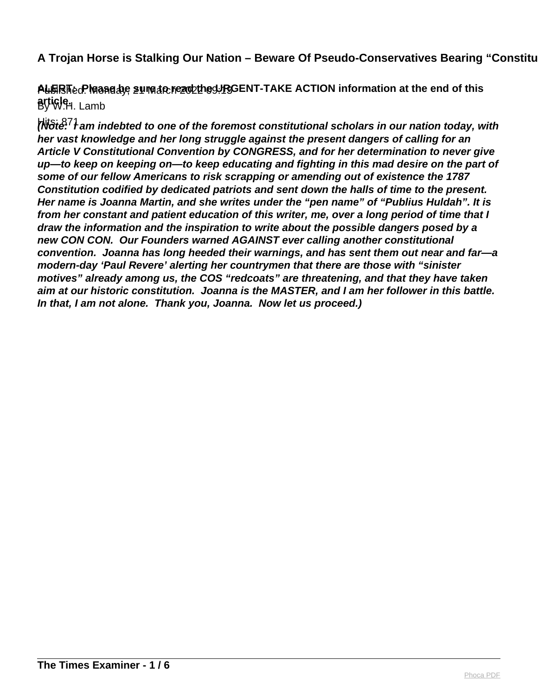# **A Trojan Horse is Stalking Our Nation – Beware Of Pseudo-Conservatives Bearing "Constitutional" A Troian Panaceas 1)**

ALERTed: Maanedye sumade read the URGENT-TAKE ACTION information at the end of this By W.H. Lamb **article.** 

Hits: 871 **(Note: I am indebted to one of the foremost constitutional scholars in our nation today, with her vast knowledge and her long struggle against the present dangers of calling for an Article V Constitutional Convention by CONGRESS, and for her determination to never give up—to keep on keeping on—to keep educating and fighting in this mad desire on the part of some of our fellow Americans to risk scrapping or amending out of existence the 1787 Constitution codified by dedicated patriots and sent down the halls of time to the present. Her name is Joanna Martin, and she writes under the "pen name" of "Publius Huldah". It is from her constant and patient education of this writer, me, over a long period of time that I draw the information and the inspiration to write about the possible dangers posed by a new CON CON. Our Founders warned AGAINST ever calling another constitutional convention. Joanna has long heeded their warnings, and has sent them out near and far—a modern-day 'Paul Revere' alerting her countrymen that there are those with "sinister motives" already among us, the COS "redcoats" are threatening, and that they have taken aim at our historic constitution. Joanna is the MASTER, and I am her follower in this battle. In that, I am not alone. Thank you, Joanna. Now let us proceed.)**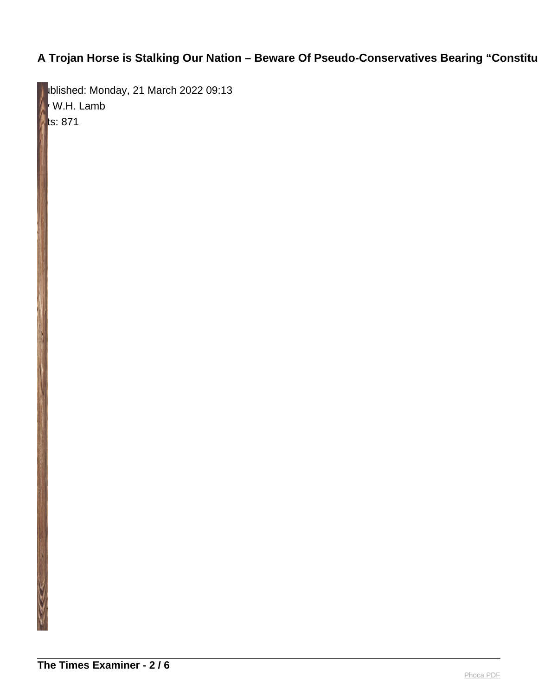# **A Trojan Horse is Stalking Our Nation - Beware Of Pseudo-Conservatives Bearing "Constitutional"**

blished: Monday, 21 March 2022 09:13  $W$ .H. Lamb  $\blacksquare$ ts: 871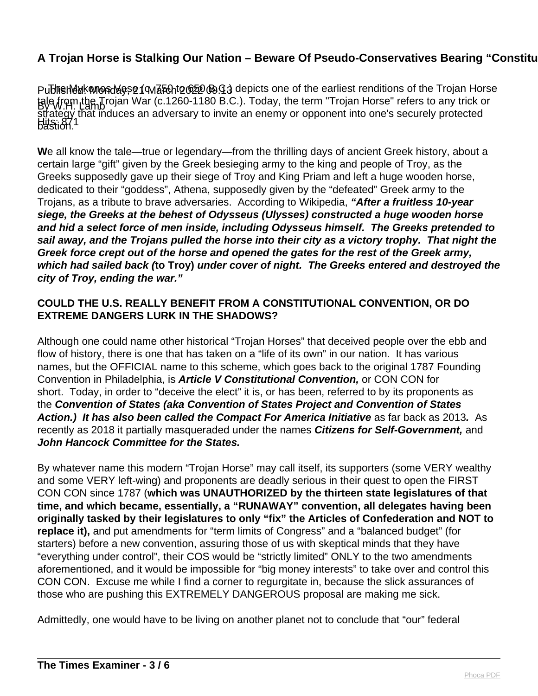### **A Trojan Horse is Stalking Our Nation – Beware Of Pseudo-Conservatives Bearing "Constitutional" A Troian Panaceas 1)**

Publinen Mak whond asse (Mancht 2022 B.G.) depicts one of the earliest renditions of the Trojan Horse By W.H. Lamb Hits: 871 tale from the Trojan War (c.1260-1180 B.C.). Today, the term "Trojan Horse" refers to any trick or strategy that induces an adversary to invite an enemy or opponent into one's securely protected bastion.'

**W**e all know the tale—true or legendary—from the thrilling days of ancient Greek history, about a certain large "gift" given by the Greek besieging army to the king and people of Troy, as the Greeks supposedly gave up their siege of Troy and King Priam and left a huge wooden horse, dedicated to their "goddess", Athena, supposedly given by the "defeated" Greek army to the Trojans, as a tribute to brave adversaries. According to Wikipedia, **"After a fruitless 10-year siege, the Greeks at the behest of Odysseus (Ulysses) constructed a huge wooden horse and hid a select force of men inside, including Odysseus himself. The Greeks pretended to sail away, and the Trojans pulled the horse into their city as a victory trophy. That night the Greek force crept out of the horse and opened the gates for the rest of the Greek army, which had sailed back (to Troy) under cover of night. The Greeks entered and destroyed the city of Troy, ending the war."**

### **COULD THE U.S. REALLY BENEFIT FROM A CONSTITUTIONAL CONVENTION, OR DO EXTREME DANGERS LURK IN THE SHADOWS?**

Although one could name other historical "Trojan Horses" that deceived people over the ebb and flow of history, there is one that has taken on a "life of its own" in our nation. It has various names, but the OFFICIAL name to this scheme, which goes back to the original 1787 Founding Convention in Philadelphia, is **Article V Constitutional Convention,** or CON CON for short.Today, in order to "deceive the elect" it is, or has been, referred to by its proponents as the **Convention of States (aka Convention of States Project and Convention of States Action.) It has also been called the Compact For America Initiative** as far back as 2013**.** As recently as 2018 it partially masqueraded under the names **Citizens for Self-Government,** and **John Hancock Committee for the States.** 

By whatever name this modern "Trojan Horse" may call itself, its supporters (some VERY wealthy and some VERY left-wing) and proponents are deadly serious in their quest to open the FIRST CON CON since 1787 (**which was UNAUTHORIZED by the thirteen state legislatures of that time, and which became, essentially, a "RUNAWAY" convention, all delegates having been originally tasked by their legislatures to only "fix" the Articles of Confederation and NOT to** replace it), and put amendments for "term limits of Congress" and a "balanced budget" (for starters) before a new convention, assuring those of us with skeptical minds that they have "everything under control", their COS would be "strictly limited" ONLY to the two amendments aforementioned, and it would be impossible for "big money interests" to take over and control this CON CON. Excuse me while I find a corner to regurgitate in, because the slick assurances of those who are pushing this EXTREMELY DANGEROUS proposal are making me sick.

Admittedly, one would have to be living on another planet not to conclude that "our" federal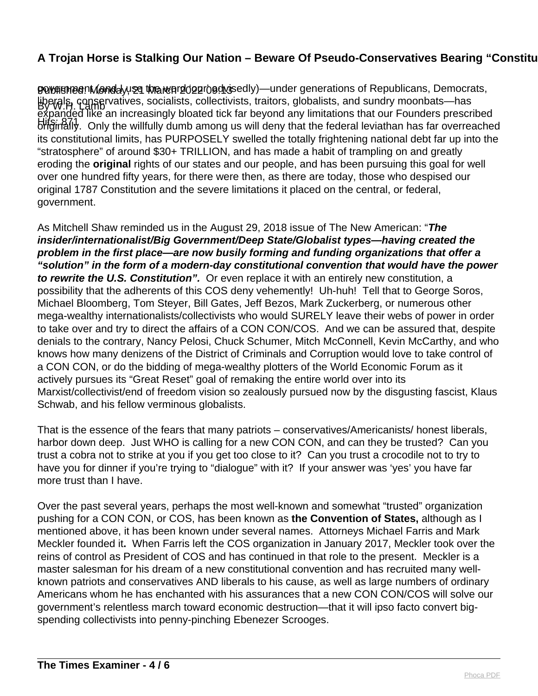# **A Trojan Horse is Stalking Our Nation – Beware Of Pseudo-Conservatives Bearing "Constitutional" Analytics**

**POV#5heenMendayyse tha wergologroed os and Conder generations of Republicans, Democrats,** Hoerals, conservatives, socialists, collectivists, traitors, globalists, and sundry moonbats—has Hits: 871 originally. Only the willfully dumb among us will deny that the federal leviathan has far overreached expanded like an increasingly bloated tick far beyond any limitations that our Founders prescribed its constitutional limits, has PURPOSELY swelled the totally frightening national debt far up into the "stratosphere" of around \$30+ TRILLION, and has made a habit of trampling on and greatly eroding the **original** rights of our states and our people, and has been pursuing this goal for well over one hundred fifty years, for there were then, as there are today, those who despised our original 1787 Constitution and the severe limitations it placed on the central, or federal, government.

As Mitchell Shaw reminded us in the August 29, 2018 issue of The New American: "**The insider/internationalist/Big Government/Deep State/Globalist types—having created the problem in the first place—are now busily forming and funding organizations that offer a "solution" in the form of a modern-day constitutional convention that would have the power to rewrite the U.S. Constitution".** Or even replace it with an entirely new constitution, a possibility that the adherents of this COS deny vehemently! Uh-huh! Tell that to George Soros, Michael Bloomberg, Tom Steyer, Bill Gates, Jeff Bezos, Mark Zuckerberg, or numerous other mega-wealthy internationalists/collectivists who would SURELY leave their webs of power in order to take over and try to direct the affairs of a CON CON/COS. And we can be assured that, despite denials to the contrary, Nancy Pelosi, Chuck Schumer, Mitch McConnell, Kevin McCarthy, and who knows how many denizens of the District of Criminals and Corruption would love to take control of a CON CON, or do the bidding of mega-wealthy plotters of the World Economic Forum as it actively pursues its "Great Reset" goal of remaking the entire world over into its Marxist/collectivist/end of freedom vision so zealously pursued now by the disgusting fascist, Klaus Schwab, and his fellow verminous globalists.

That is the essence of the fears that many patriots – conservatives/Americanists/ honest liberals, harbor down deep. Just WHO is calling for a new CON CON, and can they be trusted? Can you trust a cobra not to strike at you if you get too close to it? Can you trust a crocodile not to try to have you for dinner if you're trying to "dialogue" with it? If your answer was 'yes' you have far more trust than I have.

Over the past several years, perhaps the most well-known and somewhat "trusted" organization pushing for a CON CON, or COS, has been known as **the Convention of States,** although as I mentioned above, it has been known under several names. Attorneys Michael Farris and Mark Meckler founded it**.** When Farris left the COS organization in January 2017, Meckler took over the reins of control as President of COS and has continued in that role to the present. Meckler is a master salesman for his dream of a new constitutional convention and has recruited many wellknown patriots and conservatives AND liberals to his cause, as well as large numbers of ordinary Americans whom he has enchanted with his assurances that a new CON CON/COS will solve our government's relentless march toward economic destruction—that it will ipso facto convert bigspending collectivists into penny-pinching Ebenezer Scrooges.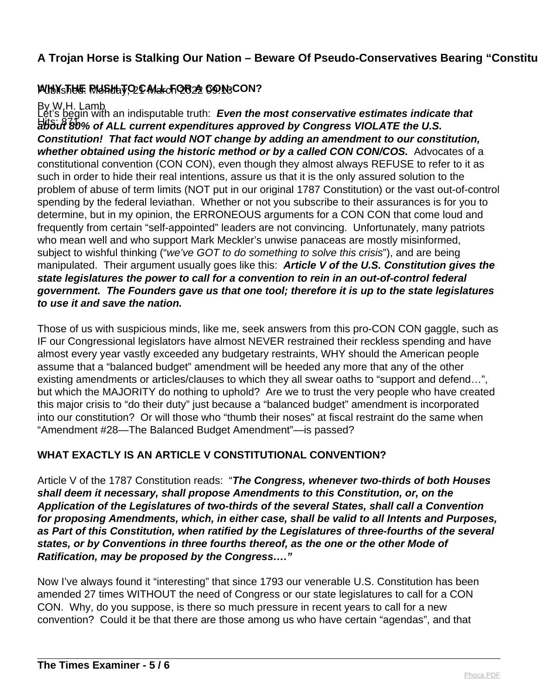## **A Trojan Horse is Stalking Our Nation – Beware Of Pseudo-Conservatives Bearing "Constitutional" A Troian Panaceas 1)**

# Published: Monday, 21 March 2022 09:13 **WHY THE PUSH TO CALL FOR A CON-CON?**

### By W.H. Lamb

about 80% of ALL current expenditures approved by Congress VIOLATE the U.S. Let's begin with an indisputable truth: Even the most conservative estimates indicate that **Constitution! That fact would NOT change by adding an amendment to our constitution, whether obtained using the historic method or by a called CON CON/COS.** Advocates of a constitutional convention (CON CON), even though they almost always REFUSE to refer to it as such in order to hide their real intentions, assure us that it is the only assured solution to the problem of abuse of term limits (NOT put in our original 1787 Constitution) or the vast out-of-control spending by the federal leviathan. Whether or not you subscribe to their assurances is for you to determine, but in my opinion, the ERRONEOUS arguments for a CON CON that come loud and frequently from certain "self-appointed" leaders are not convincing. Unfortunately, many patriots who mean well and who support Mark Meckler's unwise panaceas are mostly misinformed, subject to wishful thinking ("we've GOT to do something to solve this crisis"), and are being manipulated. Their argument usually goes like this: **Article V of the U.S. Constitution gives the state legislatures the power to call for a convention to rein in an out-of-control federal government. The Founders gave us that one tool; therefore it is up to the state legislatures to use it and save the nation.**

Those of us with suspicious minds, like me, seek answers from this pro-CON CON gaggle, such as IF our Congressional legislators have almost NEVER restrained their reckless spending and have almost every year vastly exceeded any budgetary restraints, WHY should the American people assume that a "balanced budget" amendment will be heeded any more that any of the other existing amendments or articles/clauses to which they all swear oaths to "support and defend…", but which the MAJORITY do nothing to uphold? Are we to trust the very people who have created this major crisis to "do their duty" just because a "balanced budget" amendment is incorporated into our constitution? Or will those who "thumb their noses" at fiscal restraint do the same when "Amendment #28—The Balanced Budget Amendment"—is passed?

#### **WHAT EXACTLY IS AN ARTICLE V CONSTITUTIONAL CONVENTION?**

Article V of the 1787 Constitution reads: "**The Congress, whenever two-thirds of both Houses shall deem it necessary, shall propose Amendments to this Constitution, or, on the Application of the Legislatures of two-thirds of the several States, shall call a Convention for proposing Amendments, which, in either case, shall be valid to all Intents and Purposes, as Part of this Constitution, when ratified by the Legislatures of three-fourths of the several states, or by Conventions in three fourths thereof, as the one or the other Mode of Ratification, may be proposed by the Congress…."**

Now I've always found it "interesting" that since 1793 our venerable U.S. Constitution has been amended 27 times WITHOUT the need of Congress or our state legislatures to call for a CON CON. Why, do you suppose, is there so much pressure in recent years to call for a new convention? Could it be that there are those among us who have certain "agendas", and that